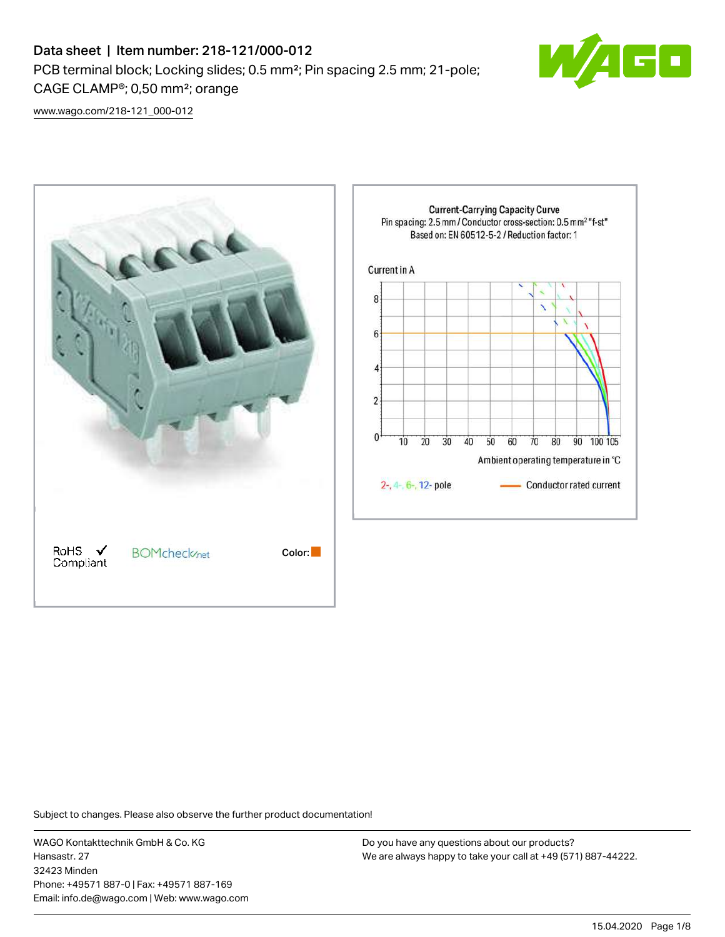# Data sheet | Item number: 218-121/000-012 PCB terminal block; Locking slides; 0.5 mm²; Pin spacing 2.5 mm; 21-pole; CAGE CLAMP®; 0,50 mm²; orange



[www.wago.com/218-121\\_000-012](http://www.wago.com/218-121_000-012)



Subject to changes. Please also observe the further product documentation!

WAGO Kontakttechnik GmbH & Co. KG Hansastr. 27 32423 Minden Phone: +49571 887-0 | Fax: +49571 887-169 Email: info.de@wago.com | Web: www.wago.com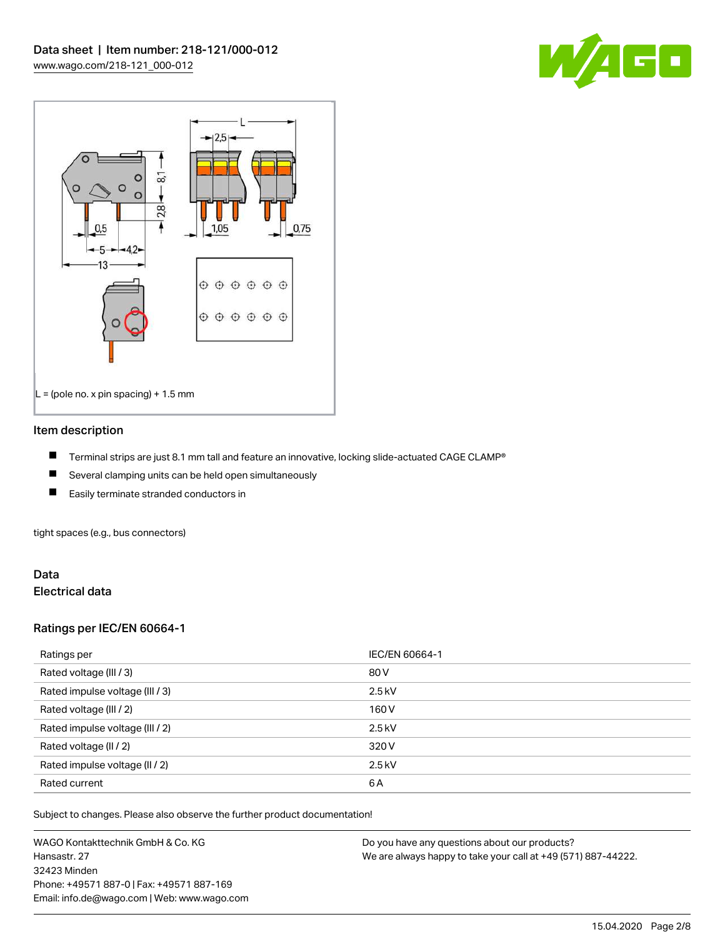



#### Item description

- П Terminal strips are just 8.1 mm tall and feature an innovative, locking slide-actuated CAGE CLAMP®
- $\blacksquare$ Several clamping units can be held open simultaneously
- П Easily terminate stranded conductors in

tight spaces (e.g., bus connectors)

#### Data Electrical data

### Ratings per IEC/EN 60664-1

| Ratings per                     | IEC/EN 60664-1 |
|---------------------------------|----------------|
| Rated voltage (III / 3)         | 80 V           |
| Rated impulse voltage (III / 3) | $2.5$ kV       |
| Rated voltage (III / 2)         | 160 V          |
| Rated impulse voltage (III / 2) | $2.5$ kV       |
| Rated voltage (II / 2)          | 320 V          |
| Rated impulse voltage (II / 2)  | $2.5$ kV       |
| Rated current                   | 6A             |

Subject to changes. Please also observe the further product documentation!

WAGO Kontakttechnik GmbH & Co. KG Hansastr. 27 32423 Minden Phone: +49571 887-0 | Fax: +49571 887-169 Email: info.de@wago.com | Web: www.wago.com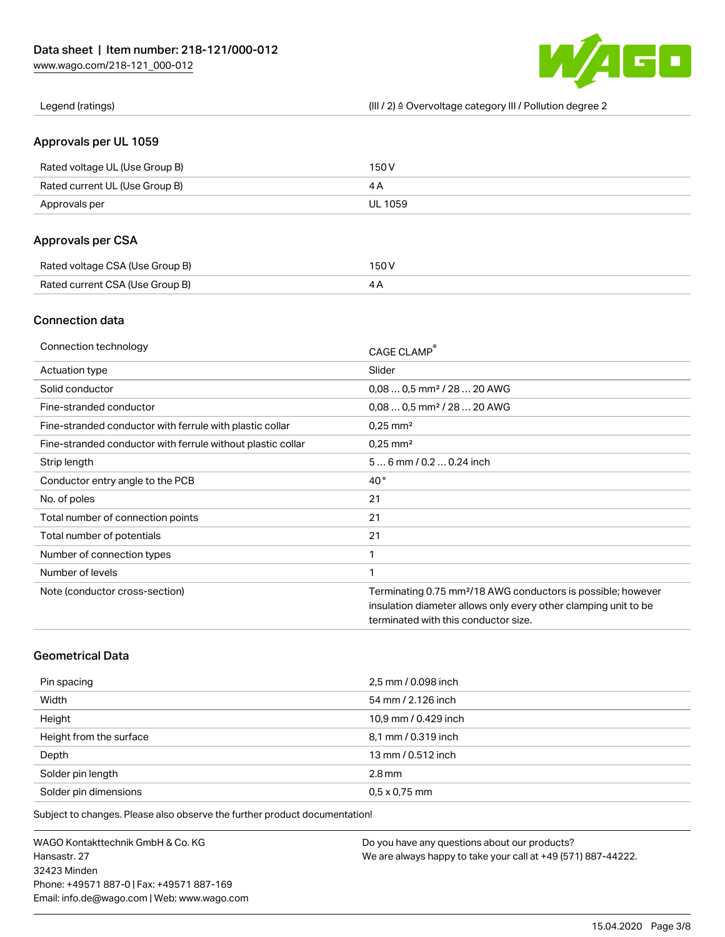

Legend (ratings) (III / 2) ≙ Overvoltage category III / Pollution degree 2

#### Approvals per UL 1059

| Rated voltage UL (Use Group B) | 150 V   |
|--------------------------------|---------|
| Rated current UL (Use Group B) |         |
| Approvals per                  | UL 1059 |

## Approvals per CSA

| Rated voltage CSA (Use Group B) | 150 V |
|---------------------------------|-------|
| Rated current CSA (Use Group B) |       |

## Connection data

| Connection technology                                       | CAGE CLAMP®                                                              |
|-------------------------------------------------------------|--------------------------------------------------------------------------|
| Actuation type                                              | Slider                                                                   |
| Solid conductor                                             | $0.080.5$ mm <sup>2</sup> / 28  20 AWG                                   |
| Fine-stranded conductor                                     | $0.080.5$ mm <sup>2</sup> / 28  20 AWG                                   |
| Fine-stranded conductor with ferrule with plastic collar    | $0.25$ mm <sup>2</sup>                                                   |
| Fine-stranded conductor with ferrule without plastic collar | $0.25$ mm <sup>2</sup>                                                   |
| Strip length                                                | $56$ mm $/ 0.20.24$ inch                                                 |
| Conductor entry angle to the PCB                            | $40^{\circ}$                                                             |
| No. of poles                                                | 21                                                                       |
| Total number of connection points                           | 21                                                                       |
| Total number of potentials                                  | 21                                                                       |
| Number of connection types                                  | 1                                                                        |
| Number of levels                                            | 1                                                                        |
| Note (conductor cross-section)                              | Terminating 0.75 mm <sup>2</sup> /18 AWG conductors is possible; however |
|                                                             | insulation diameter allows only every other clamping unit to be          |
|                                                             | terminated with this conductor size.                                     |

# Geometrical Data

| Pin spacing             | 2,5 mm / 0.098 inch  |
|-------------------------|----------------------|
| Width                   | 54 mm / 2.126 inch   |
| Height                  | 10,9 mm / 0.429 inch |
| Height from the surface | 8,1 mm / 0.319 inch  |
| Depth                   | 13 mm / 0.512 inch   |
| Solder pin length       | $2.8$ mm             |
| Solder pin dimensions   | $0.5 \times 0.75$ mm |

Subject to changes. Please also observe the further product documentation!

WAGO Kontakttechnik GmbH & Co. KG Hansastr. 27 32423 Minden Phone: +49571 887-0 | Fax: +49571 887-169 Email: info.de@wago.com | Web: www.wago.com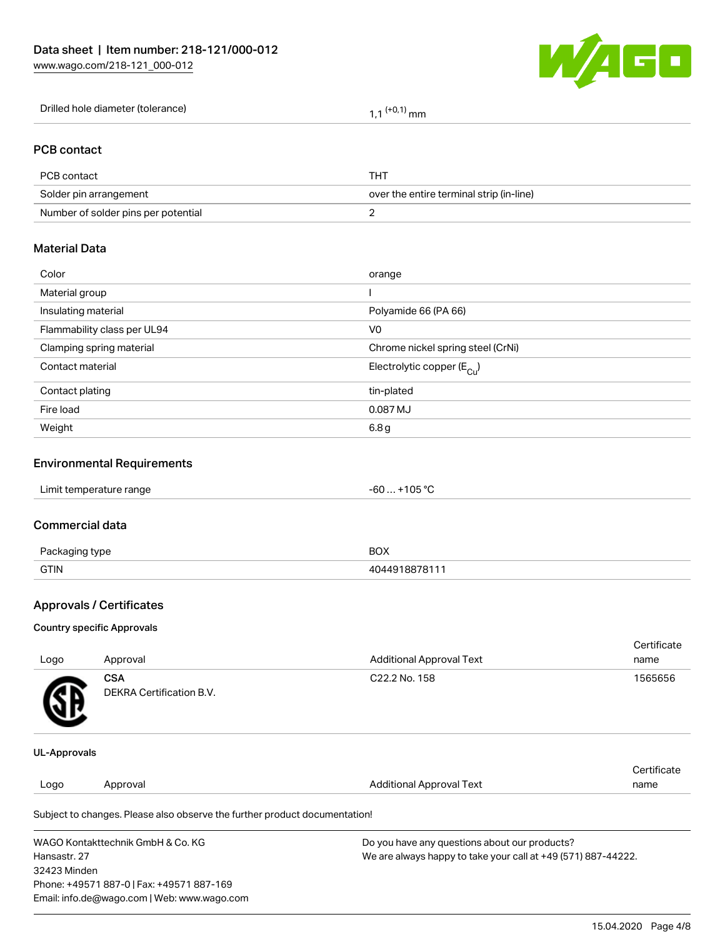

| Drilled hole diameter (tolerance) | $(+0.1)$<br>mm |  |
|-----------------------------------|----------------|--|
|-----------------------------------|----------------|--|

#### PCB contact

| PCB contact                         | THT                                      |
|-------------------------------------|------------------------------------------|
| Solder pin arrangement              | over the entire terminal strip (in-line) |
| Number of solder pins per potential |                                          |

# Material Data

| Color                       | orange                                |
|-----------------------------|---------------------------------------|
| Material group              |                                       |
| Insulating material         | Polyamide 66 (PA 66)                  |
| Flammability class per UL94 | V <sub>0</sub>                        |
| Clamping spring material    | Chrome nickel spring steel (CrNi)     |
| Contact material            | Electrolytic copper $(E_{\text{Cl}})$ |
| Contact plating             | tin-plated                            |
| Fire load                   | 0.087 MJ                              |
| Weight                      | 6.8 g                                 |
|                             |                                       |

## Environmental Requirements

# Commercial data

| $D_{20}$<br>aina type | BOX   |
|-----------------------|-------|
| <b>GTIN</b>           | 87811 |

# Approvals / Certificates

#### Country specific Approvals

| Logo                | Approval                               | <b>Additional Approval Text</b> | Certificate<br>name |
|---------------------|----------------------------------------|---------------------------------|---------------------|
| <b>R</b>            | <b>CSA</b><br>DEKRA Certification B.V. | C22.2 No. 158                   | 1565656             |
| <b>UL-Approvals</b> |                                        |                                 |                     |

#### Logo Approval And American Additional Approval Text **Certificate** name

Subject to changes. Please also observe the further product documentation!

| WAGO Kontakttechnik GmbH & Co. KG           | Do you have any questions about our products?                 |
|---------------------------------------------|---------------------------------------------------------------|
| Hansastr. 27                                | We are always happy to take your call at +49 (571) 887-44222. |
| 32423 Minden                                |                                                               |
| Phone: +49571 887-0   Fax: +49571 887-169   |                                                               |
| Email: info.de@wago.com   Web: www.wago.com |                                                               |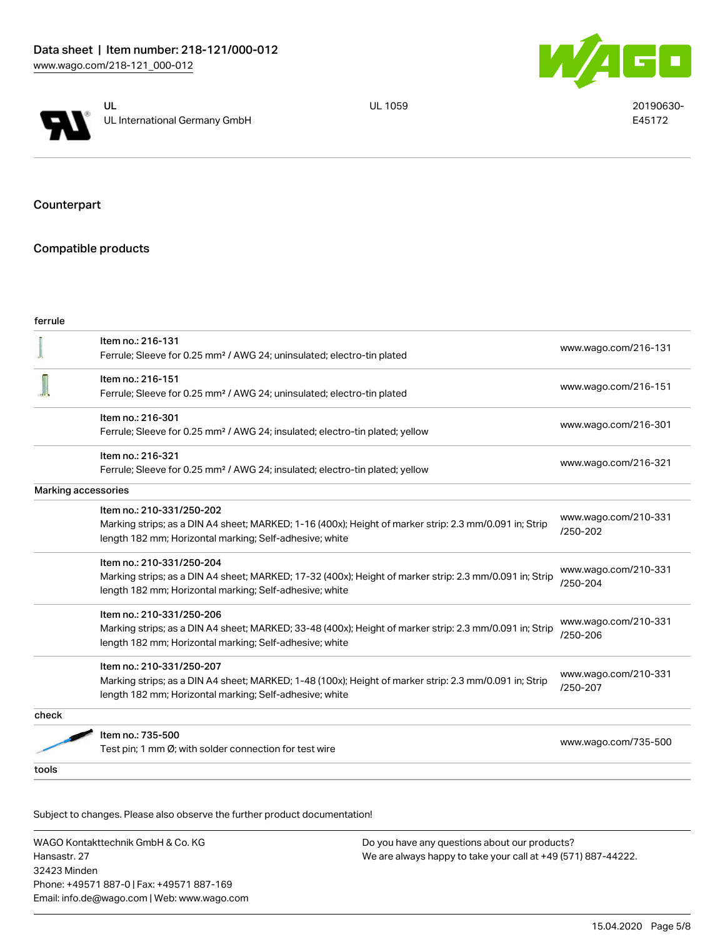



UL 1059 20190630-E45172

Counterpart

# Compatible products

| ۰.<br>M. | . .<br>M.<br>۰. |  |
|----------|-----------------|--|
|          |                 |  |

|                     | Item no.: 216-131<br>Ferrule; Sleeve for 0.25 mm <sup>2</sup> / AWG 24; uninsulated; electro-tin plated                                                            | www.wago.com/216-131             |  |
|---------------------|--------------------------------------------------------------------------------------------------------------------------------------------------------------------|----------------------------------|--|
|                     | Item no.: 216-151<br>Ferrule; Sleeve for 0.25 mm <sup>2</sup> / AWG 24; uninsulated; electro-tin plated                                                            | www.wago.com/216-151             |  |
|                     | Item no.: 216-301                                                                                                                                                  |                                  |  |
|                     | Ferrule; Sleeve for 0.25 mm <sup>2</sup> / AWG 24; insulated; electro-tin plated; yellow                                                                           | www.wago.com/216-301             |  |
|                     | Item no.: 216-321                                                                                                                                                  | www.wago.com/216-321             |  |
|                     | Ferrule; Sleeve for 0.25 mm <sup>2</sup> / AWG 24; insulated; electro-tin plated; yellow                                                                           |                                  |  |
| Marking accessories |                                                                                                                                                                    |                                  |  |
|                     | Item no.: 210-331/250-202<br>Marking strips; as a DIN A4 sheet; MARKED; 1-16 (400x); Height of marker strip: 2.3 mm/0.091 in; Strip                                | www.wago.com/210-331<br>/250-202 |  |
|                     | length 182 mm; Horizontal marking; Self-adhesive; white                                                                                                            |                                  |  |
|                     | Item no.: 210-331/250-204                                                                                                                                          | www.wago.com/210-331             |  |
|                     | Marking strips; as a DIN A4 sheet; MARKED; 17-32 (400x); Height of marker strip: 2.3 mm/0.091 in; Strip<br>length 182 mm; Horizontal marking; Self-adhesive; white | /250-204                         |  |
|                     | Item no.: 210-331/250-206                                                                                                                                          |                                  |  |
|                     | Marking strips; as a DIN A4 sheet; MARKED; 33-48 (400x); Height of marker strip: 2.3 mm/0.091 in; Strip<br>length 182 mm; Horizontal marking; Self-adhesive; white | www.wago.com/210-331<br>/250-206 |  |
|                     | Item no.: 210-331/250-207                                                                                                                                          |                                  |  |
|                     | Marking strips; as a DIN A4 sheet; MARKED; 1-48 (100x); Height of marker strip: 2.3 mm/0.091 in; Strip<br>length 182 mm; Horizontal marking; Self-adhesive; white  | www.wago.com/210-331<br>/250-207 |  |
| check               |                                                                                                                                                                    |                                  |  |
|                     | Item no.: 735-500                                                                                                                                                  |                                  |  |
|                     | Test pin; 1 mm Ø; with solder connection for test wire                                                                                                             | www.wago.com/735-500             |  |
| tools               |                                                                                                                                                                    |                                  |  |

Subject to changes. Please also observe the further product documentation!

WAGO Kontakttechnik GmbH & Co. KG Hansastr. 27 32423 Minden Phone: +49571 887-0 | Fax: +49571 887-169 Email: info.de@wago.com | Web: www.wago.com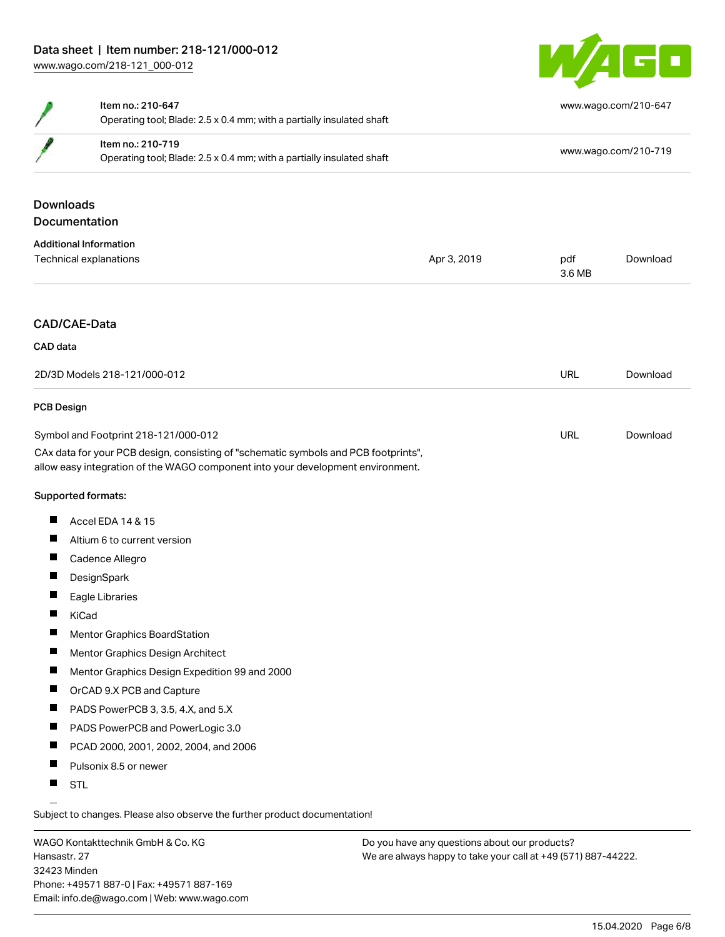

|                          | Item no.: 210-647<br>Operating tool; Blade: 2.5 x 0.4 mm; with a partially insulated shaft                                                                             |             | www.wago.com/210-647 |          |  |
|--------------------------|------------------------------------------------------------------------------------------------------------------------------------------------------------------------|-------------|----------------------|----------|--|
|                          | Item no.: 210-719<br>Operating tool; Blade: 2.5 x 0.4 mm; with a partially insulated shaft                                                                             |             | www.wago.com/210-719 |          |  |
| <b>Downloads</b>         | Documentation                                                                                                                                                          |             |                      |          |  |
|                          | <b>Additional Information</b>                                                                                                                                          |             |                      |          |  |
|                          | Technical explanations                                                                                                                                                 | Apr 3, 2019 | pdf<br>3.6 MB        | Download |  |
| CAD/CAE-Data<br>CAD data |                                                                                                                                                                        |             |                      |          |  |
|                          | 2D/3D Models 218-121/000-012                                                                                                                                           |             | <b>URL</b>           | Download |  |
| <b>PCB Design</b>        |                                                                                                                                                                        |             |                      |          |  |
|                          | Symbol and Footprint 218-121/000-012                                                                                                                                   |             | URL                  | Download |  |
|                          | CAx data for your PCB design, consisting of "schematic symbols and PCB footprints",<br>allow easy integration of the WAGO component into your development environment. |             |                      |          |  |
|                          | Supported formats:                                                                                                                                                     |             |                      |          |  |
| ш                        | Accel EDA 14 & 15                                                                                                                                                      |             |                      |          |  |
| ш                        | Altium 6 to current version                                                                                                                                            |             |                      |          |  |
| ш                        | Cadence Allegro                                                                                                                                                        |             |                      |          |  |
| ш                        | DesignSpark                                                                                                                                                            |             |                      |          |  |
| H                        | Eagle Libraries                                                                                                                                                        |             |                      |          |  |
| H.                       | KiCad                                                                                                                                                                  |             |                      |          |  |
| $\blacksquare$           | <b>Mentor Graphics BoardStation</b>                                                                                                                                    |             |                      |          |  |
| П                        | Mentor Graphics Design Architect                                                                                                                                       |             |                      |          |  |
| ш                        | Mentor Graphics Design Expedition 99 and 2000                                                                                                                          |             |                      |          |  |
| Ш                        | OrCAD 9.X PCB and Capture                                                                                                                                              |             |                      |          |  |
| ш                        | PADS PowerPCB 3, 3.5, 4.X, and 5.X                                                                                                                                     |             |                      |          |  |
| ш                        | PADS PowerPCB and PowerLogic 3.0                                                                                                                                       |             |                      |          |  |
| ш                        | PCAD 2000, 2001, 2002, 2004, and 2006                                                                                                                                  |             |                      |          |  |
| ш                        | Pulsonix 8.5 or newer                                                                                                                                                  |             |                      |          |  |

**STL** 

Subject to changes. Please also observe the further product documentation!

WAGO Kontakttechnik GmbH & Co. KG Hansastr. 27 32423 Minden Phone: +49571 887-0 | Fax: +49571 887-169 Email: info.de@wago.com | Web: www.wago.com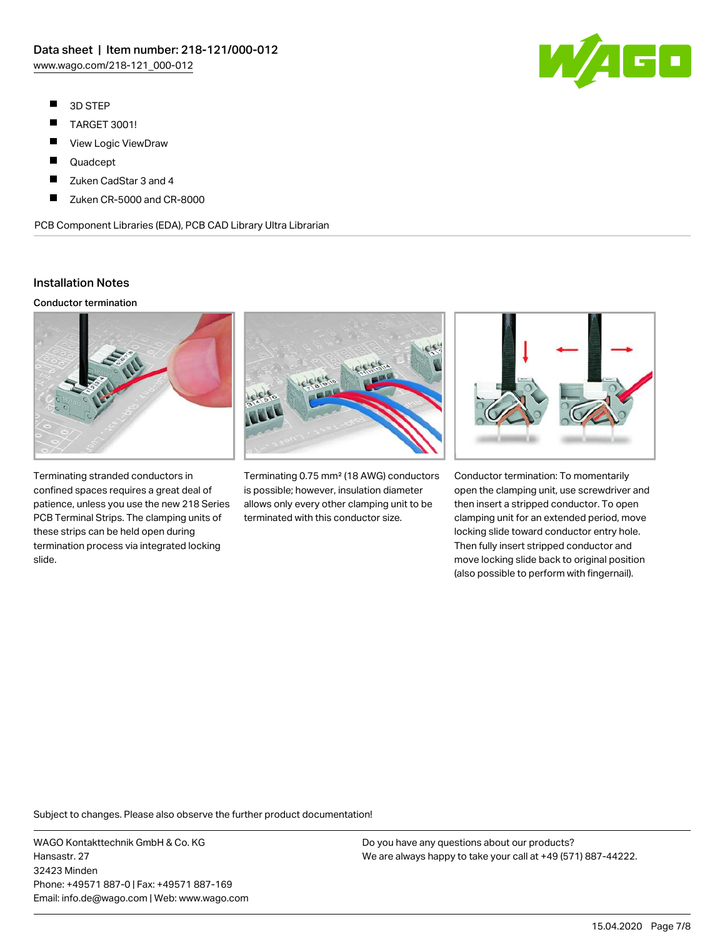- $\blacksquare$ 3D STEP
- $\blacksquare$ TARGET 3001!
- $\blacksquare$ View Logic ViewDraw
- $\blacksquare$ Quadcept
- П Zuken CadStar 3 and 4
- П Zuken CR-5000 and CR-8000

PCB Component Libraries (EDA), PCB CAD Library Ultra Librarian

## Installation Notes

#### Conductor termination



Terminating stranded conductors in confined spaces requires a great deal of patience, unless you use the new 218 Series PCB Terminal Strips. The clamping units of these strips can be held open during termination process via integrated locking slide.



Terminating 0.75 mm² (18 AWG) conductors is possible; however, insulation diameter allows only every other clamping unit to be terminated with this conductor size.



Conductor termination: To momentarily open the clamping unit, use screwdriver and then insert a stripped conductor. To open clamping unit for an extended period, move locking slide toward conductor entry hole. Then fully insert stripped conductor and move locking slide back to original position (also possible to perform with fingernail).

Subject to changes. Please also observe the further product documentation!

WAGO Kontakttechnik GmbH & Co. KG Hansastr. 27 32423 Minden Phone: +49571 887-0 | Fax: +49571 887-169 Email: info.de@wago.com | Web: www.wago.com